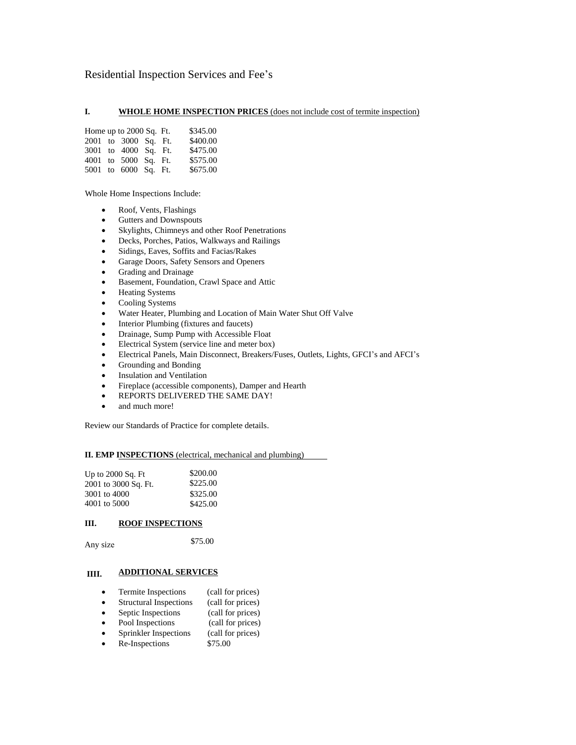Residential Inspection Services and Fee's

#### **I. WHOLE HOME INSPECTION PRICES** (does not include cost of termite inspection)

|  | Home up to 2000 Sq. Ft. |  | \$345.00 |
|--|-------------------------|--|----------|
|  | 2001 to 3000 Sq. Ft.    |  | \$400.00 |
|  | 3001 to 4000 Sq. Ft.    |  | \$475.00 |
|  | 4001 to 5000 Sq. Ft.    |  | \$575.00 |
|  | 5001 to 6000 Sq. Ft.    |  | \$675.00 |

Whole Home Inspections Include:

- Roof, Vents, Flashings
- Gutters and Downspouts
- Skylights, Chimneys and other Roof Penetrations
- Decks, Porches, Patios, Walkways and Railings
- Sidings, Eaves, Soffits and Facias/Rakes
- Garage Doors, Safety Sensors and Openers
- Grading and Drainage
- Basement, Foundation, Crawl Space and Attic
- Heating Systems
- Cooling Systems
- Water Heater, Plumbing and Location of Main Water Shut Off Valve
- Interior Plumbing (fixtures and faucets)
- Drainage, Sump Pump with Accessible Float
- Electrical System (service line and meter box)
- Electrical Panels, Main Disconnect, Breakers/Fuses, Outlets, Lights, GFCI's and AFCI's
- Grounding and Bonding
- Insulation and Ventilation
- Fireplace (accessible components), Damper and Hearth
- REPORTS DELIVERED THE SAME DAY!
- and much more!

Review our Standards of Practice for complete details.

## **II. EMP INSPECTIONS** (electrical, mechanical and plumbing)

| Up to $2000$ Sq. Ft  | \$200.00 |
|----------------------|----------|
| 2001 to 3000 Sq. Ft. | \$225.00 |
| 3001 to 4000         | \$325.00 |
| 4001 to 5000         | \$425.00 |

## **III. ROOF INSPECTIONS**

Any size \$75.00

## **IIII. ADDITIONAL SERVICES**

- Termite Inspections (call for prices)
- Structural Inspections (call for prices)<br>• Septic Inspections (call for prices)
- $\bullet$  Septic Inspections
- Pool Inspections (call for prices)
- Sprinkler Inspections (call for prices)
- Re-Inspections \$75.00